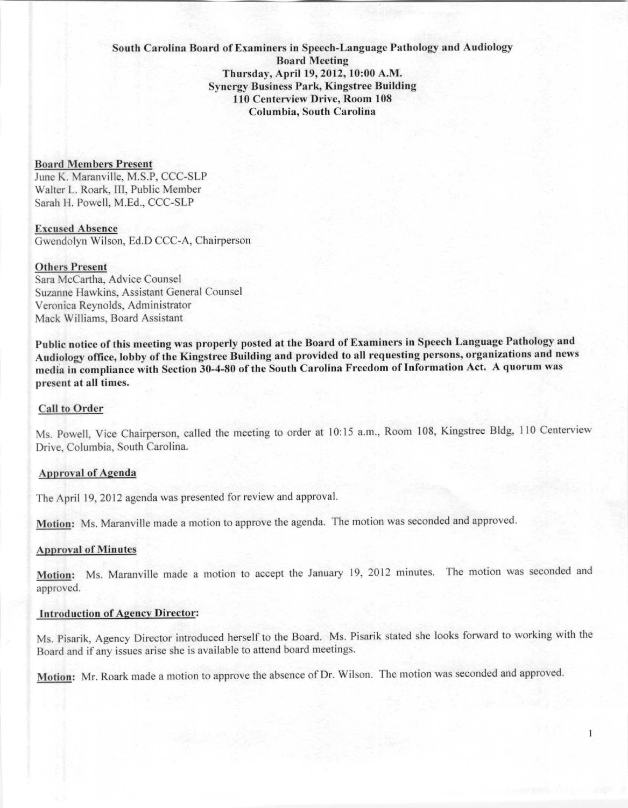# **South Carolina Board of Examiners in Spcl'ch-Language Pathology and Audiology Board Meeting** Thursday, April 19,2012,10:00 A.M. **Synergy Business Park, Kingstrce Building** 110 Centerview Drive, Room 108 **Columhhl, South Carolina**

#### **Board Members Present**

June K. Maranville, M.S.P, CCC-SLP Walter L. Roark, III, Public Member Sarah H. Powell, M.Ed., CCC-SLP

Excused Ahsenee Gwendolyn Wilson, Ed.D CCC-A, Chairperson

#### Others Present

Sara McCartha, Advice Counsel Suzanne Hawkins, Assistant General Counsel Veronica Reynolds, Administrator Mack Williams, Board Assistant

Public notice of this meeting was properly posted at the Board of Examiners in Speech Language Pathology and Audiology office, lobby of the Kingstree Building and provided to all requesting persons, organizations and news media in compliance with Section 30-4-80 of the South Carolina Freedom of Information Act. A quorum was present at all times.

#### Call to Order

Ms. Powell, Vice Chairperson, called the meeting to order at 10:15 a.m., Room 108, Kingstree Bldg, 110 Centerview Drive, Columbia. South Carolina.

## Approval of Agenda

The April 19,2012 agenda was presented for review and approval.

Motion: Ms. Maranville made a motion to approve the agenda. The motion was seconded and approved.

#### **Approval of Minutes**

Motion: Ms. Maranville made a motion to accept the January 19, 2012 minutes. The motion was seconded and approved.

## **Introduction of Agency Director:**

Ms. Pisarik, Agency Director introduced herself to the Board. Ms. Pisarik stated she looks forward to working with the Board and if any issues arise she is available to attend board meetings.

Motion: Mr. Roark made a motion to approve the absence of Dr. Wilson. The motion was seconded and approved.